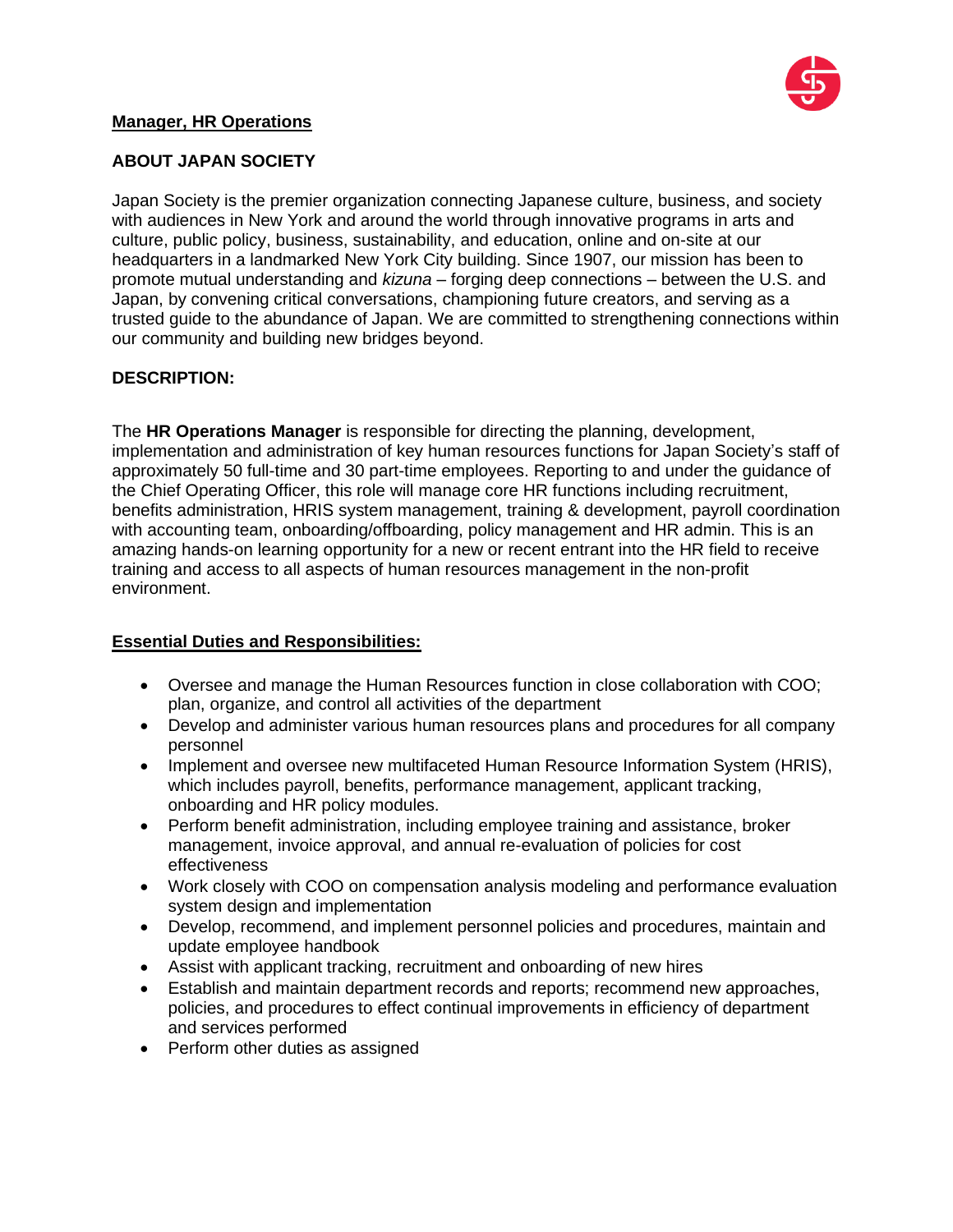

## **Manager, HR Operations**

# **ABOUT JAPAN SOCIETY**

Japan Society is the premier organization connecting Japanese culture, business, and society with audiences in New York and around the world through innovative programs in arts and culture, public policy, business, sustainability, and education, online and on-site at our headquarters in a landmarked New York City building. Since 1907, our mission has been to promote mutual understanding and *kizuna* – forging deep connections – between the U.S. and Japan, by convening critical conversations, championing future creators, and serving as a trusted guide to the abundance of Japan. We are committed to strengthening connections within our community and building new bridges beyond.

# **DESCRIPTION:**

The **HR Operations Manager** is responsible for directing the planning, development, implementation and administration of key human resources functions for Japan Society's staff of approximately 50 full-time and 30 part-time employees. Reporting to and under the guidance of the Chief Operating Officer, this role will manage core HR functions including recruitment, benefits administration, HRIS system management, training & development, payroll coordination with accounting team, onboarding/offboarding, policy management and HR admin. This is an amazing hands-on learning opportunity for a new or recent entrant into the HR field to receive training and access to all aspects of human resources management in the non-profit environment.

## **Essential Duties and Responsibilities:**

- Oversee and manage the Human Resources function in close collaboration with COO; plan, organize, and control all activities of the department
- Develop and administer various human resources plans and procedures for all company personnel
- Implement and oversee new multifaceted Human Resource Information System (HRIS), which includes payroll, benefits, performance management, applicant tracking, onboarding and HR policy modules.
- Perform benefit administration, including employee training and assistance, broker management, invoice approval, and annual re-evaluation of policies for cost effectiveness
- Work closely with COO on compensation analysis modeling and performance evaluation system design and implementation
- Develop, recommend, and implement personnel policies and procedures, maintain and update employee handbook
- Assist with applicant tracking, recruitment and onboarding of new hires
- Establish and maintain department records and reports; recommend new approaches, policies, and procedures to effect continual improvements in efficiency of department and services performed
- Perform other duties as assigned